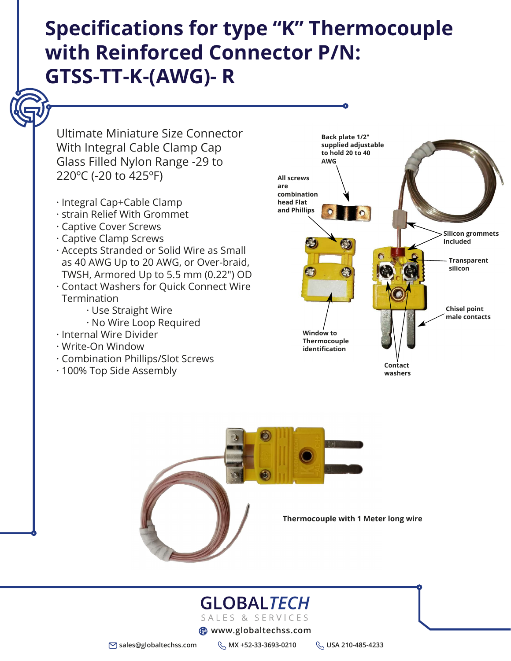#### **Thermocouple with 1 Meter long wire**

### GLOBALTECH SALES & SERVICES

**ED** www.globaltechss.com

**sales@globaltechss.com MX +52-33-3693-0210 USA 210-485-4233**

# **Specifications for type "K" Thermocouple with Reinforced Connector P/N: GTSS-TT-K-(AWG)- R**

Ultimate Miniature Size Connector With Integral Cable Clamp Cap Glass Filled Nylon Range -29 to 220ºC (-20 to 425ºF)

- · Integral Cap+Cable Clamp
- · strain Relief With Grommet
- · Captive Cover Screws
- · Captive Clamp Screws
- 
- · Accepts Stranded or Solid Wire as Small as 40 AWG Up to 20 AWG, or Over-braid, TWSH, Armored Up to 5.5 mm (0.22") OD
- · Contact Washers for Quick Connect Wire Termination
	- · Use Straight Wire
	- · No Wire Loop Required
- · Internal Wire Divider
- · Write-On Window
- · Combination Phillips/Slot Screws
- · 100% Top Side Assembly